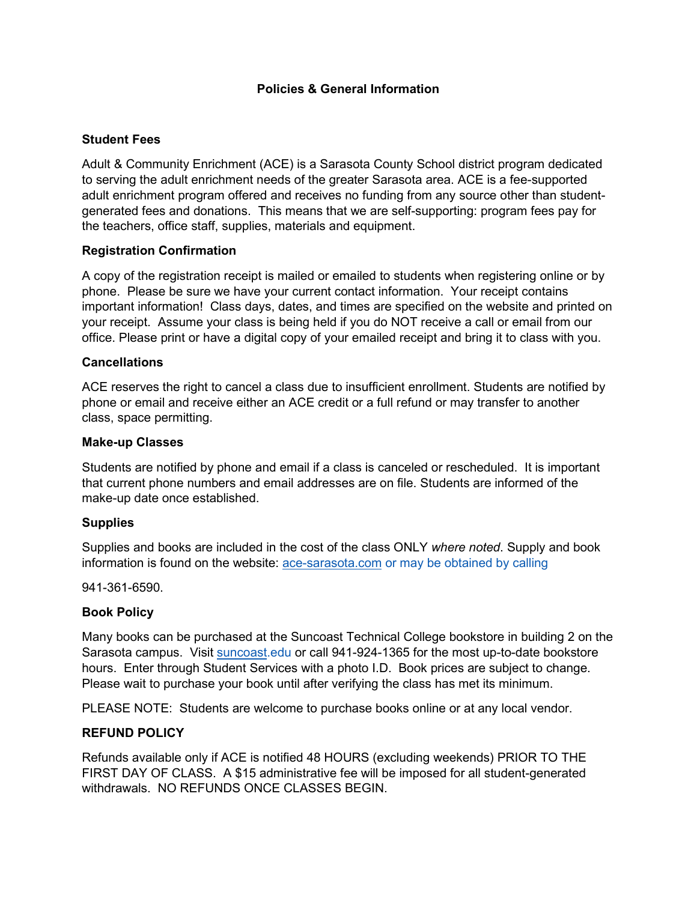## **Policies & General Information**

# **Student Fees**

Adult & Community Enrichment (ACE) is a Sarasota County School district program dedicated to serving the adult enrichment needs of the greater Sarasota area. ACE is a fee-supported adult enrichment program offered and receives no funding from any source other than studentgenerated fees and donations. This means that we are self-supporting: program fees pay for the teachers, office staff, supplies, materials and equipment.

## **Registration Confirmation**

A copy of the registration receipt is mailed or emailed to students when registering online or by phone. Please be sure we have your current contact information. Your receipt contains important information! Class days, dates, and times are specified on the website and printed on your receipt. Assume your class is being held if you do NOT receive a call or email from our office. Please print or have a digital copy of your emailed receipt and bring it to class with you.

### **Cancellations**

ACE reserves the right to cancel a class due to insufficient enrollment. Students are notified by phone or email and receive either an ACE credit or a full refund or may transfer to another class, space permitting.

#### **Make-up Classes**

Students are notified by phone and email if a class is canceled or rescheduled. It is important that current phone numbers and email addresses are on file. Students are informed of the make-up date once established.

#### **Supplies**

Supplies and books are included in the cost of the class ONLY *where noted*. Supply and book information is found on the website: [ace-sarasota.com](http://www.ace-sarasota.com/) or may be obtained by calling

941-361-6590.

#### **Book Policy**

Many books can be purchased at the Suncoast Technical College bookstore in building 2 on the Sarasota campus. Visit [suncoast.](http://www.suncoast/)edu or call 941-924-1365 for the most up-to-date bookstore hours. Enter through Student Services with a photo I.D. Book prices are subject to change. Please wait to purchase your book until after verifying the class has met its minimum.

PLEASE NOTE: Students are welcome to purchase books online or at any local vendor.

#### **REFUND POLICY**

Refunds available only if ACE is notified 48 HOURS (excluding weekends) PRIOR TO THE FIRST DAY OF CLASS. A \$15 administrative fee will be imposed for all student-generated withdrawals. NO REFUNDS ONCE CLASSES BEGIN.